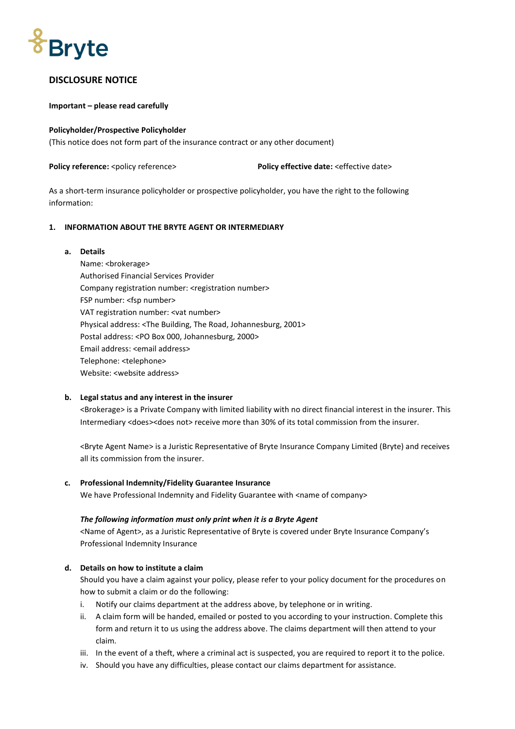

# **DISCLOSURE NOTICE**

#### **Important – please read carefully**

#### **Policyholder/Prospective Policyholder**

(This notice does not form part of the insurance contract or any other document)

**Policy reference:** <policy reference> **Policy effective date:** <effective date>

As a short-term insurance policyholder or prospective policyholder, you have the right to the following information:

#### **1. INFORMATION ABOUT THE BRYTE AGENT OR INTERMEDIARY**

#### **a. Details**

Name: <brokerage> Authorised Financial Services Provider Company registration number: <registration number> FSP number: <fsp number> VAT registration number: <vat number> Physical address: <The Building, The Road, Johannesburg, 2001> Postal address: <PO Box 000, Johannesburg, 2000> Email address: <email address> Telephone: <telephone> Website: <website address>

#### **b. Legal status and any interest in the insurer**

<Brokerage> is a Private Company with limited liability with no direct financial interest in the insurer. This Intermediary <does><does not> receive more than 30% of its total commission from the insurer.

<Bryte Agent Name> is a Juristic Representative of Bryte Insurance Company Limited (Bryte) and receives all its commission from the insurer.

#### **c. Professional Indemnity/Fidelity Guarantee Insurance**

We have Professional Indemnity and Fidelity Guarantee with <name of company>

#### *The following information must only print when it is a Bryte Agent*

<Name of Agent>, as a Juristic Representative of Bryte is covered under Bryte Insurance Company's Professional Indemnity Insurance

#### **d. Details on how to institute a claim**

Should you have a claim against your policy, please refer to your policy document for the procedures on how to submit a claim or do the following:

- i. Notify our claims department at the address above, by telephone or in writing.
- ii. A claim form will be handed, emailed or posted to you according to your instruction. Complete this form and return it to us using the address above. The claims department will then attend to your claim.
- iii. In the event of a theft, where a criminal act is suspected, you are required to report it to the police.
- iv. Should you have any difficulties, please contact our claims department for assistance.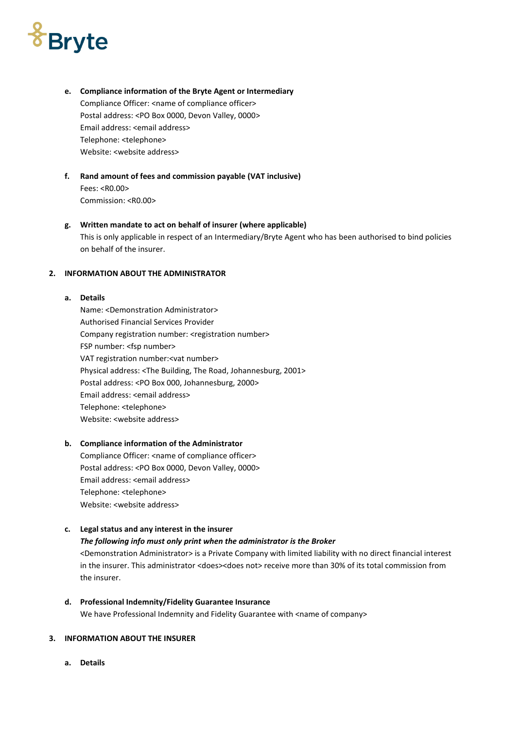# **Bryte**

- **e. Compliance information of the Bryte Agent or Intermediary** Compliance Officer: <name of compliance officer> Postal address: <PO Box 0000, Devon Valley, 0000> Email address: <email address> Telephone: <telephone> Website: <website address>
- **f. Rand amount of fees and commission payable (VAT inclusive)** Fees: <R0.00> Commission: <R0.00>

#### **g. Written mandate to act on behalf of insurer (where applicable)** This is only applicable in respect of an Intermediary/Bryte Agent who has been authorised to bind policies on behalf of the insurer.

#### **2. INFORMATION ABOUT THE ADMINISTRATOR**

#### **a. Details**

Name: <Demonstration Administrator> Authorised Financial Services Provider Company registration number: <registration number> FSP number: <fsp number> VAT registration number:<vat number> Physical address: <The Building, The Road, Johannesburg, 2001> Postal address: <PO Box 000, Johannesburg, 2000> Email address: <email address> Telephone: <telephone> Website: <website address>

#### **b. Compliance information of the Administrator**

Compliance Officer: <name of compliance officer> Postal address: <PO Box 0000, Devon Valley, 0000> Email address: <email address> Telephone: <telephone> Website: <website address>

# **c. Legal status and any interest in the insurer** *The following info must only print when the administrator is the Broker* <Demonstration Administrator> is a Private Company with limited liability with no direct financial interest

in the insurer. This administrator <does><does not> receive more than 30% of its total commission from the insurer.

**d. Professional Indemnity/Fidelity Guarantee Insurance** We have Professional Indemnity and Fidelity Guarantee with <name of company>

# **3. INFORMATION ABOUT THE INSURER**

**a. Details**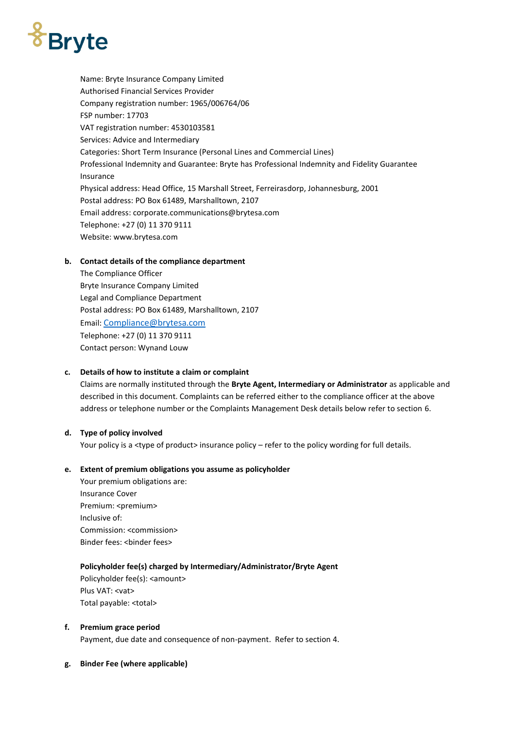# *<i><u><b>S*Bryte</u>

Name: Bryte Insurance Company Limited Authorised Financial Services Provider Company registration number: 1965/006764/06 FSP number: 17703 VAT registration number: 4530103581 Services: Advice and Intermediary Categories: Short Term Insurance (Personal Lines and Commercial Lines) Professional Indemnity and Guarantee: Bryte has Professional Indemnity and Fidelity Guarantee Insurance Physical address: Head Office, 15 Marshall Street, Ferreirasdorp, Johannesburg, 2001 Postal address: PO Box 61489, Marshalltown, 2107 Email address: corporate.communications@brytesa.com Telephone: +27 (0) 11 370 9111 Website: www.brytesa.com

# **b. Contact details of the compliance department**

The Compliance Officer Bryte Insurance Company Limited Legal and Compliance Department Postal address: PO Box 61489, Marshalltown, 2107 Email: [Compliance@brytesa.com](mailto:Compliance@brytesa.com) Telephone: +27 (0) 11 370 9111 Contact person: Wynand Louw

# **c. Details of how to institute a claim or complaint**

Claims are normally instituted through the **Bryte Agent, Intermediary or Administrator** as applicable and described in this document. Complaints can be referred either to the compliance officer at the above address or telephone number or the Complaints Management Desk details below refer to section 6.

#### **d. Type of policy involved**

Your policy is a <type of product> insurance policy – refer to the policy wording for full details.

#### **e. Extent of premium obligations you assume as policyholder**

Your premium obligations are: Insurance Cover Premium: <premium> Inclusive of: Commission: <commission> Binder fees: <br/> <br/>binder fees>

#### **Policyholder fee(s) charged by Intermediary/Administrator/Bryte Agent**

Policyholder fee(s): <amount> Plus VAT: <vat> Total payable: <total>

#### **f. Premium grace period**

Payment, due date and consequence of non-payment. Refer to section 4.

#### **g. Binder Fee (where applicable)**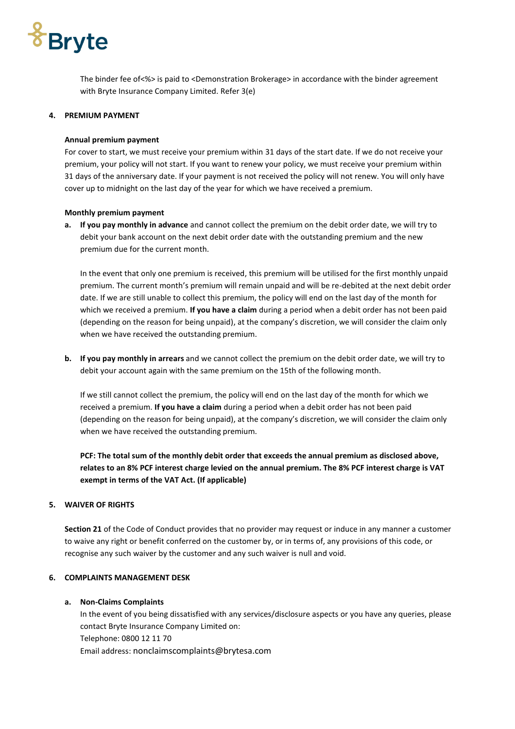# **Bryte**

The binder fee of<%> is paid to <Demonstration Brokerage> in accordance with the binder agreement with Bryte Insurance Company Limited. Refer 3(e)

#### **4. PREMIUM PAYMENT**

#### **Annual premium payment**

For cover to start, we must receive your premium within 31 days of the start date. If we do not receive your premium, your policy will not start. If you want to renew your policy, we must receive your premium within 31 days of the anniversary date. If your payment is not received the policy will not renew. You will only have cover up to midnight on the last day of the year for which we have received a premium.

#### **Monthly premium payment**

**a. If you pay monthly in advance** and cannot collect the premium on the debit order date, we will try to debit your bank account on the next debit order date with the outstanding premium and the new premium due for the current month.

In the event that only one premium is received, this premium will be utilised for the first monthly unpaid premium. The current month's premium will remain unpaid and will be re-debited at the next debit order date. If we are still unable to collect this premium, the policy will end on the last day of the month for which we received a premium. **If you have a claim** during a period when a debit order has not been paid (depending on the reason for being unpaid), at the company's discretion, we will consider the claim only when we have received the outstanding premium.

**b. If you pay monthly in arrears** and we cannot collect the premium on the debit order date, we will try to debit your account again with the same premium on the 15th of the following month.

If we still cannot collect the premium, the policy will end on the last day of the month for which we received a premium. **If you have a claim** during a period when a debit order has not been paid (depending on the reason for being unpaid), at the company's discretion, we will consider the claim only when we have received the outstanding premium.

**PCF: The total sum of the monthly debit order that exceeds the annual premium as disclosed above, relates to an 8% PCF interest charge levied on the annual premium. The 8% PCF interest charge is VAT exempt in terms of the VAT Act. (If applicable)**

# **5. WAIVER OF RIGHTS**

**Section 21** of the Code of Conduct provides that no provider may request or induce in any manner a customer to waive any right or benefit conferred on the customer by, or in terms of, any provisions of this code, or recognise any such waiver by the customer and any such waiver is null and void.

#### **6. COMPLAINTS MANAGEMENT DESK**

#### **a. Non-Claims Complaints**

In the event of you being dissatisfied with any services/disclosure aspects or you have any queries, please contact Bryte Insurance Company Limited on: Telephone: 0800 12 11 70 Email address: nonclaimscomplaints@brytesa.com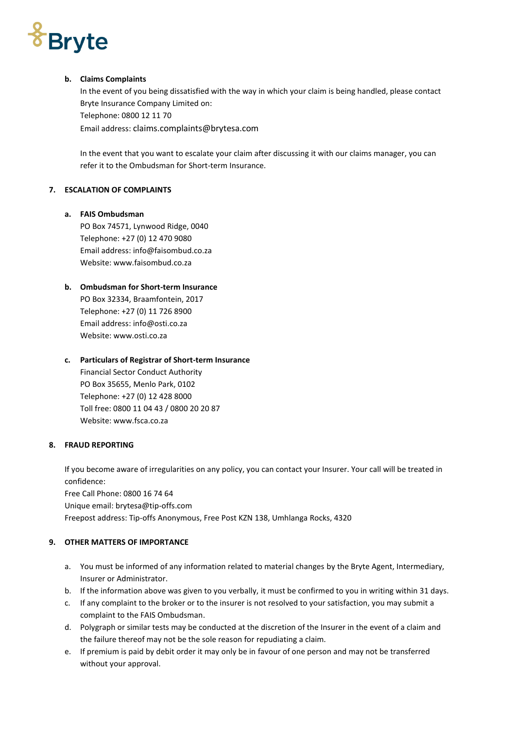# *<u><i><u><b>S*Bryte</u></u>

### **b. Claims Complaints**

In the event of you being dissatisfied with the way in which your claim is being handled, please contact Bryte Insurance Company Limited on: Telephone: 0800 12 11 70 Email address: claims.complaints@brytesa.com

In the event that you want to escalate your claim after discussing it with our claims manager, you can refer it to the Ombudsman for Short-term Insurance.

# **7. ESCALATION OF COMPLAINTS**

# **a. FAIS Ombudsman**

PO Box 74571, Lynwood Ridge, 0040 Telephone: +27 (0) 12 470 9080 Email address: info@faisombud.co.za Website: www.faisombud.co.za

# **b. Ombudsman for Short-term Insurance**

PO Box 32334, Braamfontein, 2017 Telephone: +27 (0) 11 726 8900 Email address[: info@osti.co.za](mailto:info@osti.co.za) Website: [www.osti.co.za](http://www.osti.co.za/)

# **c. Particulars of Registrar of Short-term Insurance**

Financial Sector Conduct Authority PO Box 35655, Menlo Park, 0102 Telephone: +27 (0) 12 428 8000 Toll free: 0800 11 04 43 / 0800 20 20 87 Website: [www.fsca.co.za](http://www.fsca.co.za/)

# **8. FRAUD REPORTING**

If you become aware of irregularities on any policy, you can contact your Insurer. Your call will be treated in confidence:

Free Call Phone: 0800 16 74 64 Unique email: brytesa@tip-offs.com Freepost address: Tip-offs Anonymous, Free Post KZN 138, Umhlanga Rocks, 4320

# **9. OTHER MATTERS OF IMPORTANCE**

- a. You must be informed of any information related to material changes by the Bryte Agent, Intermediary, Insurer or Administrator.
- b. If the information above was given to you verbally, it must be confirmed to you in writing within 31 days.
- c. If any complaint to the broker or to the insurer is not resolved to your satisfaction, you may submit a complaint to the FAIS Ombudsman.
- d. Polygraph or similar tests may be conducted at the discretion of the Insurer in the event of a claim and the failure thereof may not be the sole reason for repudiating a claim.
- e. If premium is paid by debit order it may only be in favour of one person and may not be transferred without your approval.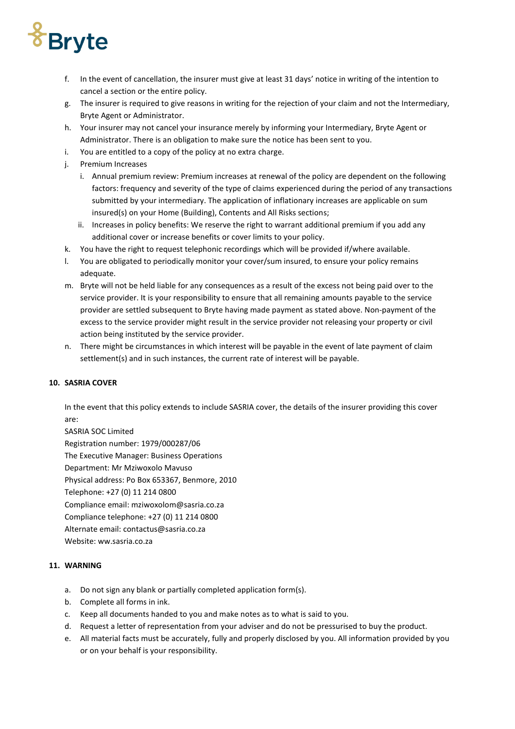# *<u><i><u><b>TBryte</u>*</u>

- f. In the event of cancellation, the insurer must give at least 31 days' notice in writing of the intention to cancel a section or the entire policy.
- g. The insurer is required to give reasons in writing for the rejection of your claim and not the Intermediary, Bryte Agent or Administrator.
- h. Your insurer may not cancel your insurance merely by informing your Intermediary, Bryte Agent or Administrator. There is an obligation to make sure the notice has been sent to you.
- i. You are entitled to a copy of the policy at no extra charge.
- j. Premium Increases
	- i. Annual premium review: Premium increases at renewal of the policy are dependent on the following factors: frequency and severity of the type of claims experienced during the period of any transactions submitted by your intermediary. The application of inflationary increases are applicable on sum insured(s) on your Home (Building), Contents and All Risks sections;
	- ii. Increases in policy benefits: We reserve the right to warrant additional premium if you add any additional cover or increase benefits or cover limits to your policy.
- k. You have the right to request telephonic recordings which will be provided if/where available.
- l. You are obligated to periodically monitor your cover/sum insured, to ensure your policy remains adequate.
- m. Bryte will not be held liable for any consequences as a result of the excess not being paid over to the service provider. It is your responsibility to ensure that all remaining amounts payable to the service provider are settled subsequent to Bryte having made payment as stated above. Non-payment of the excess to the service provider might result in the service provider not releasing your property or civil action being instituted by the service provider.
- n. There might be circumstances in which interest will be payable in the event of late payment of claim settlement(s) and in such instances, the current rate of interest will be payable.

# **10. SASRIA COVER**

In the event that this policy extends to include SASRIA cover, the details of the insurer providing this cover are:

SASRIA SOC Limited Registration number: 1979/000287/06 The Executive Manager: Business Operations Department: Mr Mziwoxolo Mavuso Physical address: Po Box 653367, Benmore, 2010 Telephone: +27 (0) 11 214 0800 Compliance email: mziwoxolom@sasria.co.za Compliance telephone: +27 (0) 11 214 0800 Alternate email: contactus@sasria.co.za Website: ww.sasria.co.za

# **11. WARNING**

- a. Do not sign any blank or partially completed application form(s).
- b. Complete all forms in ink.
- c. Keep all documents handed to you and make notes as to what is said to you.
- d. Request a letter of representation from your adviser and do not be pressurised to buy the product.
- e. All material facts must be accurately, fully and properly disclosed by you. All information provided by you or on your behalf is your responsibility.